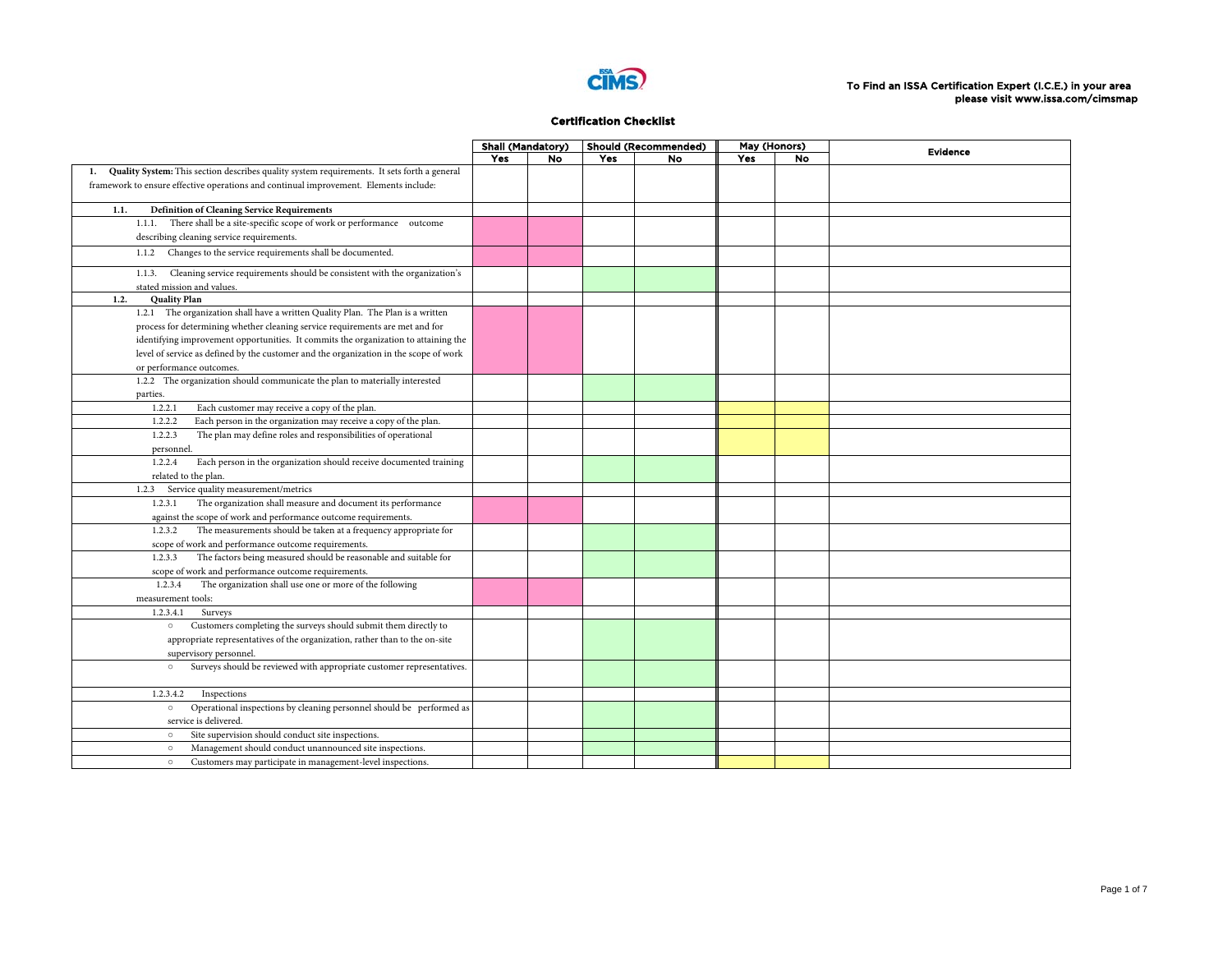

|                                                                                                   | <b>Shall (Mandatory)</b> |    |     | <b>Should (Recommended)</b> | May (Honors) |           | <b>Evidence</b> |
|---------------------------------------------------------------------------------------------------|--------------------------|----|-----|-----------------------------|--------------|-----------|-----------------|
|                                                                                                   | Yes                      | No | Yes | No                          | Yes          | <b>No</b> |                 |
| Quality System: This section describes quality system requirements. It sets forth a general<br>1. |                          |    |     |                             |              |           |                 |
| framework to ensure effective operations and continual improvement. Elements include:             |                          |    |     |                             |              |           |                 |
|                                                                                                   |                          |    |     |                             |              |           |                 |
| <b>Definition of Cleaning Service Requirements</b><br>1.1.                                        |                          |    |     |                             |              |           |                 |
| 1.1.1. There shall be a site-specific scope of work or performance outcome                        |                          |    |     |                             |              |           |                 |
| describing cleaning service requirements.                                                         |                          |    |     |                             |              |           |                 |
| 1.1.2 Changes to the service requirements shall be documented.                                    |                          |    |     |                             |              |           |                 |
| Cleaning service requirements should be consistent with the organization's<br>1.1.3.              |                          |    |     |                             |              |           |                 |
| stated mission and values.                                                                        |                          |    |     |                             |              |           |                 |
| <b>Quality Plan</b><br>1.2.                                                                       |                          |    |     |                             |              |           |                 |
| 1.2.1 The organization shall have a written Quality Plan. The Plan is a written                   |                          |    |     |                             |              |           |                 |
| process for determining whether cleaning service requirements are met and for                     |                          |    |     |                             |              |           |                 |
| identifying improvement opportunities. It commits the organization to attaining the               |                          |    |     |                             |              |           |                 |
| level of service as defined by the customer and the organization in the scope of work             |                          |    |     |                             |              |           |                 |
| or performance outcomes.                                                                          |                          |    |     |                             |              |           |                 |
| 1.2.2 The organization should communicate the plan to materially interested                       |                          |    |     |                             |              |           |                 |
| parties.                                                                                          |                          |    |     |                             |              |           |                 |
| Each customer may receive a copy of the plan.<br>1.2.2.1                                          |                          |    |     |                             |              |           |                 |
| Each person in the organization may receive a copy of the plan.<br>1.2.2.2                        |                          |    |     |                             |              |           |                 |
| The plan may define roles and responsibilities of operational<br>1.2.2.3                          |                          |    |     |                             |              |           |                 |
| personnel.                                                                                        |                          |    |     |                             |              |           |                 |
| 1.2.2.4<br>Each person in the organization should receive documented training                     |                          |    |     |                             |              |           |                 |
| related to the plan.                                                                              |                          |    |     |                             |              |           |                 |
| Service quality measurement/metrics<br>1.2.3                                                      |                          |    |     |                             |              |           |                 |
| The organization shall measure and document its performance<br>1.2.3.1                            |                          |    |     |                             |              |           |                 |
| against the scope of work and performance outcome requirements.                                   |                          |    |     |                             |              |           |                 |
|                                                                                                   |                          |    |     |                             |              |           |                 |
| The measurements should be taken at a frequency appropriate for<br>1.2.3.2                        |                          |    |     |                             |              |           |                 |
| scope of work and performance outcome requirements.<br>1.2.3.3                                    |                          |    |     |                             |              |           |                 |
| The factors being measured should be reasonable and suitable for                                  |                          |    |     |                             |              |           |                 |
| scope of work and performance outcome requirements.                                               |                          |    |     |                             |              |           |                 |
| 1.2.3.4<br>The organization shall use one or more of the following                                |                          |    |     |                             |              |           |                 |
| measurement tools:                                                                                |                          |    |     |                             |              |           |                 |
| 1.2.3.4.1<br>Surveys                                                                              |                          |    |     |                             |              |           |                 |
| Customers completing the surveys should submit them directly to<br>$\circ$                        |                          |    |     |                             |              |           |                 |
| appropriate representatives of the organization, rather than to the on-site                       |                          |    |     |                             |              |           |                 |
| supervisory personnel.                                                                            |                          |    |     |                             |              |           |                 |
| Surveys should be reviewed with appropriate customer representatives.<br>$\circ$                  |                          |    |     |                             |              |           |                 |
| 1.2.3.4.2<br>Inspections                                                                          |                          |    |     |                             |              |           |                 |
| Operational inspections by cleaning personnel should be performed as<br>$\circ$                   |                          |    |     |                             |              |           |                 |
| service is delivered.                                                                             |                          |    |     |                             |              |           |                 |
| Site supervision should conduct site inspections.<br>$\circ$                                      |                          |    |     |                             |              |           |                 |
| Management should conduct unannounced site inspections.<br>$\circ$                                |                          |    |     |                             |              |           |                 |
| Customers may participate in management-level inspections.<br>$\circ$                             |                          |    |     |                             |              |           |                 |
|                                                                                                   |                          |    |     |                             |              |           |                 |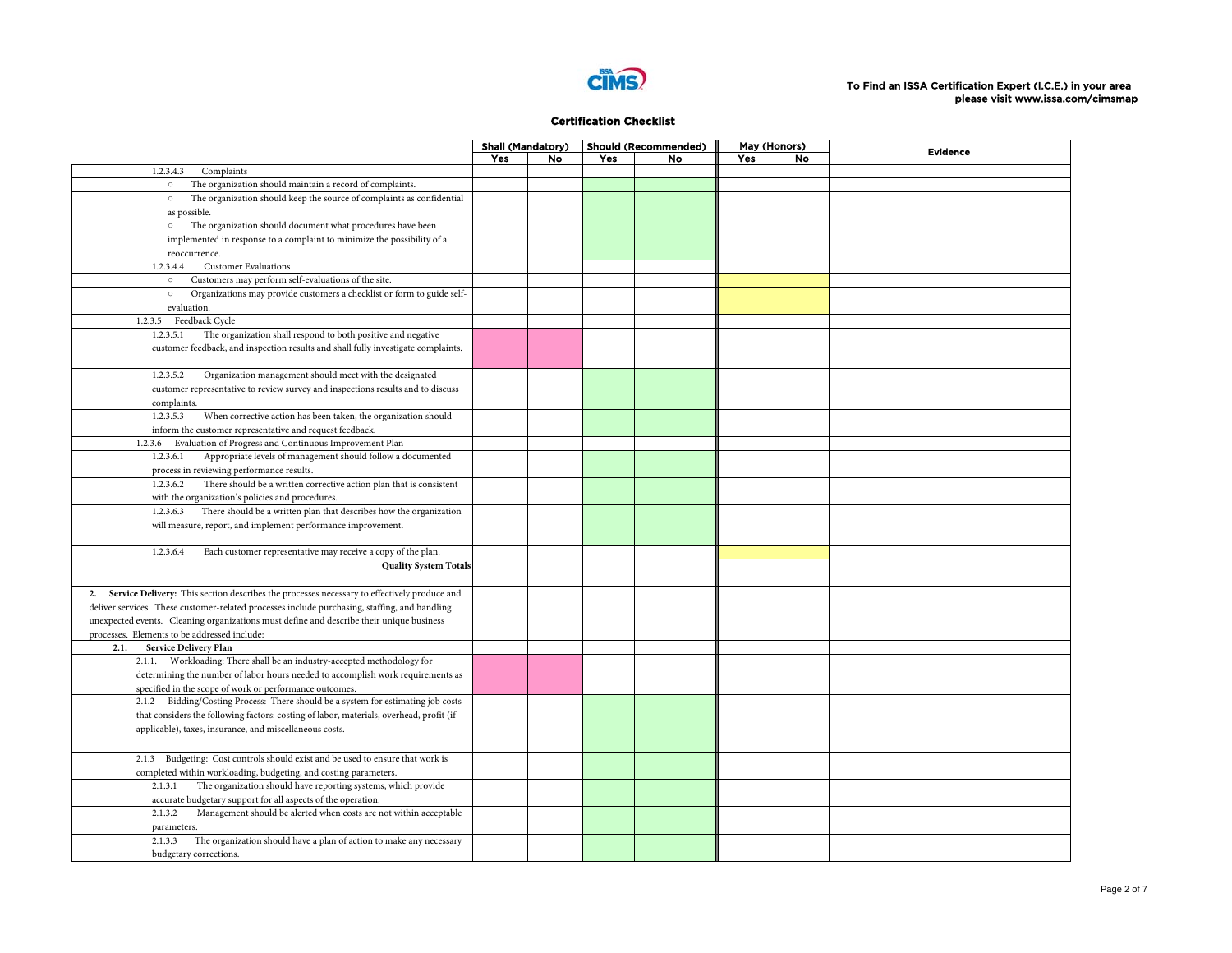

|                                                                                                                                              | <b>Shall (Mandatory)</b> |    |     | <b>Should (Recommended)</b> | May (Honors) |    | <b>Evidence</b> |
|----------------------------------------------------------------------------------------------------------------------------------------------|--------------------------|----|-----|-----------------------------|--------------|----|-----------------|
|                                                                                                                                              | Yes                      | No | Yes | No                          | Yes          | No |                 |
| 1.2.3.4.3<br>Complaints                                                                                                                      |                          |    |     |                             |              |    |                 |
| The organization should maintain a record of complaints.<br>$\circ$                                                                          |                          |    |     |                             |              |    |                 |
| The organization should keep the source of complaints as confidential<br>$\circ$                                                             |                          |    |     |                             |              |    |                 |
| as possible.                                                                                                                                 |                          |    |     |                             |              |    |                 |
| The organization should document what procedures have been<br>$\circ$                                                                        |                          |    |     |                             |              |    |                 |
| implemented in response to a complaint to minimize the possibility of a                                                                      |                          |    |     |                             |              |    |                 |
| reoccurrence.                                                                                                                                |                          |    |     |                             |              |    |                 |
| <b>Customer Evaluations</b><br>1.2.3.4.4                                                                                                     |                          |    |     |                             |              |    |                 |
| Customers may perform self-evaluations of the site.<br>$\circ$                                                                               |                          |    |     |                             |              |    |                 |
| Organizations may provide customers a checklist or form to guide self-<br>$\circ$                                                            |                          |    |     |                             |              |    |                 |
| evaluation.                                                                                                                                  |                          |    |     |                             |              |    |                 |
| Feedback Cycle<br>1.2.3.5                                                                                                                    |                          |    |     |                             |              |    |                 |
| The organization shall respond to both positive and negative<br>1.2.3.5.1                                                                    |                          |    |     |                             |              |    |                 |
| customer feedback, and inspection results and shall fully investigate complaints.                                                            |                          |    |     |                             |              |    |                 |
|                                                                                                                                              |                          |    |     |                             |              |    |                 |
| 1.2.3.5.2<br>Organization management should meet with the designated                                                                         |                          |    |     |                             |              |    |                 |
| customer representative to review survey and inspections results and to discuss                                                              |                          |    |     |                             |              |    |                 |
| complaints.                                                                                                                                  |                          |    |     |                             |              |    |                 |
| 1.2.3.5.3<br>When corrective action has been taken, the organization should                                                                  |                          |    |     |                             |              |    |                 |
| inform the customer representative and request feedback.                                                                                     |                          |    |     |                             |              |    |                 |
| Evaluation of Progress and Continuous Improvement Plan<br>1.2.3.6                                                                            |                          |    |     |                             |              |    |                 |
| Appropriate levels of management should follow a documented<br>1.2.3.6.1                                                                     |                          |    |     |                             |              |    |                 |
| process in reviewing performance results.                                                                                                    |                          |    |     |                             |              |    |                 |
| There should be a written corrective action plan that is consistent<br>1.2.3.6.2                                                             |                          |    |     |                             |              |    |                 |
| with the organization's policies and procedures.                                                                                             |                          |    |     |                             |              |    |                 |
| There should be a written plan that describes how the organization<br>1.2.3.6.3                                                              |                          |    |     |                             |              |    |                 |
| will measure, report, and implement performance improvement.                                                                                 |                          |    |     |                             |              |    |                 |
|                                                                                                                                              |                          |    |     |                             |              |    |                 |
| 1.2.3.6.4<br>Each customer representative may receive a copy of the plan.                                                                    |                          |    |     |                             |              |    |                 |
| <b>Quality System Totals</b>                                                                                                                 |                          |    |     |                             |              |    |                 |
|                                                                                                                                              |                          |    |     |                             |              |    |                 |
| 2. Service Delivery: This section describes the processes necessary to effectively produce and                                               |                          |    |     |                             |              |    |                 |
| deliver services. These customer-related processes include purchasing, staffing, and handling                                                |                          |    |     |                             |              |    |                 |
| unexpected events. Cleaning organizations must define and describe their unique business                                                     |                          |    |     |                             |              |    |                 |
| processes. Elements to be addressed include:                                                                                                 |                          |    |     |                             |              |    |                 |
| Service Delivery Plan<br>2.1.                                                                                                                |                          |    |     |                             |              |    |                 |
| 2.1.1. Workloading: There shall be an industry-accepted methodology for                                                                      |                          |    |     |                             |              |    |                 |
| determining the number of labor hours needed to accomplish work requirements as                                                              |                          |    |     |                             |              |    |                 |
| specified in the scope of work or performance outcomes.                                                                                      |                          |    |     |                             |              |    |                 |
| 2.1.2 Bidding/Costing Process: There should be a system for estimating job costs                                                             |                          |    |     |                             |              |    |                 |
| that considers the following factors: costing of labor, materials, overhead, profit (if                                                      |                          |    |     |                             |              |    |                 |
| applicable), taxes, insurance, and miscellaneous costs.                                                                                      |                          |    |     |                             |              |    |                 |
|                                                                                                                                              |                          |    |     |                             |              |    |                 |
| Budgeting: Cost controls should exist and be used to ensure that work is<br>2.1.3                                                            |                          |    |     |                             |              |    |                 |
|                                                                                                                                              |                          |    |     |                             |              |    |                 |
| completed within workloading, budgeting, and costing parameters.<br>The organization should have reporting systems, which provide<br>2.1.3.1 |                          |    |     |                             |              |    |                 |
| accurate budgetary support for all aspects of the operation.                                                                                 |                          |    |     |                             |              |    |                 |
| Management should be alerted when costs are not within acceptable<br>2.1.3.2                                                                 |                          |    |     |                             |              |    |                 |
| parameters.                                                                                                                                  |                          |    |     |                             |              |    |                 |
| 2.1.3.3 The organization should have a plan of action to make any necessary                                                                  |                          |    |     |                             |              |    |                 |
| budgetary corrections.                                                                                                                       |                          |    |     |                             |              |    |                 |
|                                                                                                                                              |                          |    |     |                             |              |    |                 |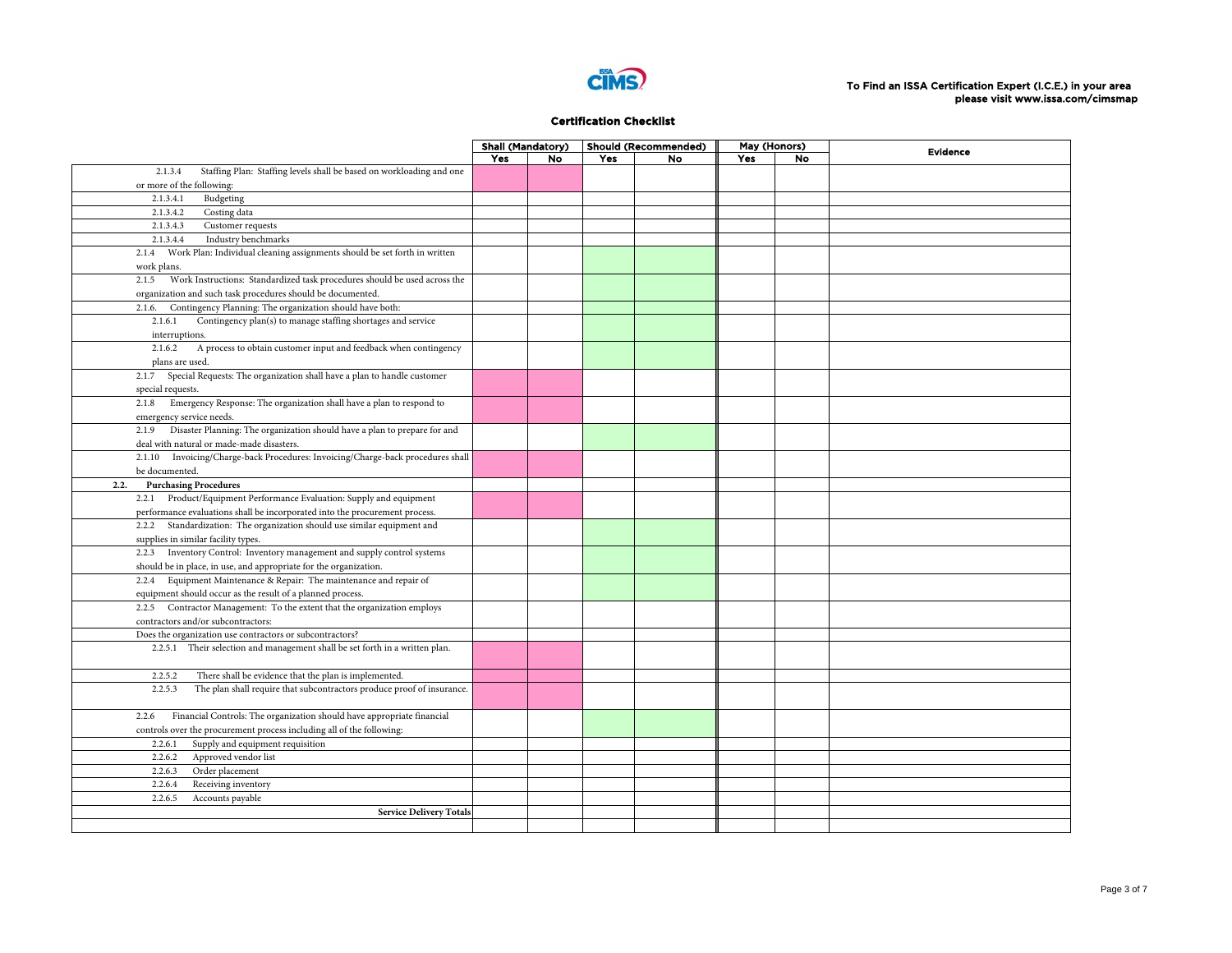

|                                                                                    | <b>Shall (Mandatory)</b> |    |     | Should (Recommended) | May (Honors) |           | <b>Evidence</b> |
|------------------------------------------------------------------------------------|--------------------------|----|-----|----------------------|--------------|-----------|-----------------|
|                                                                                    | Yes                      | No | Yes | <b>No</b>            | Yes          | <b>No</b> |                 |
| Staffing Plan: Staffing levels shall be based on workloading and one<br>2.1.3.4    |                          |    |     |                      |              |           |                 |
| or more of the following:                                                          |                          |    |     |                      |              |           |                 |
| Budgeting<br>2.1.3.4.1                                                             |                          |    |     |                      |              |           |                 |
| Costing data<br>2.1.3.4.2                                                          |                          |    |     |                      |              |           |                 |
| 2.1.3.4.3<br>Customer requests                                                     |                          |    |     |                      |              |           |                 |
| 2.1.3.4.4<br>Industry benchmarks                                                   |                          |    |     |                      |              |           |                 |
| 2.1.4 Work Plan: Individual cleaning assignments should be set forth in written    |                          |    |     |                      |              |           |                 |
| work plans.                                                                        |                          |    |     |                      |              |           |                 |
| Work Instructions: Standardized task procedures should be used across the<br>2.1.5 |                          |    |     |                      |              |           |                 |
| organization and such task procedures should be documented.                        |                          |    |     |                      |              |           |                 |
| Contingency Planning: The organization should have both:<br>2.1.6.                 |                          |    |     |                      |              |           |                 |
| Contingency plan(s) to manage staffing shortages and service<br>2.1.6.1            |                          |    |     |                      |              |           |                 |
| interruptions.                                                                     |                          |    |     |                      |              |           |                 |
| A process to obtain customer input and feedback when contingency<br>2.1.6.2        |                          |    |     |                      |              |           |                 |
| plans are used.                                                                    |                          |    |     |                      |              |           |                 |
| 2.1.7 Special Requests: The organization shall have a plan to handle customer      |                          |    |     |                      |              |           |                 |
| special requests.                                                                  |                          |    |     |                      |              |           |                 |
| Emergency Response: The organization shall have a plan to respond to<br>2.1.8      |                          |    |     |                      |              |           |                 |
| emergency service needs.                                                           |                          |    |     |                      |              |           |                 |
| Disaster Planning: The organization should have a plan to prepare for and<br>2.1.9 |                          |    |     |                      |              |           |                 |
| deal with natural or made-made disasters.                                          |                          |    |     |                      |              |           |                 |
| 2.1.10 Invoicing/Charge-back Procedures: Invoicing/Charge-back procedures shall    |                          |    |     |                      |              |           |                 |
| be documented.                                                                     |                          |    |     |                      |              |           |                 |
| <b>Purchasing Procedures</b><br>2.2.                                               |                          |    |     |                      |              |           |                 |
| 2.2.1 Product/Equipment Performance Evaluation: Supply and equipment               |                          |    |     |                      |              |           |                 |
| performance evaluations shall be incorporated into the procurement process.        |                          |    |     |                      |              |           |                 |
| 2.2.2 Standardization: The organization should use similar equipment and           |                          |    |     |                      |              |           |                 |
| supplies in similar facility types.                                                |                          |    |     |                      |              |           |                 |
| 2.2.3 Inventory Control: Inventory management and supply control systems           |                          |    |     |                      |              |           |                 |
| should be in place, in use, and appropriate for the organization.                  |                          |    |     |                      |              |           |                 |
| 2.2.4 Equipment Maintenance & Repair: The maintenance and repair of                |                          |    |     |                      |              |           |                 |
| equipment should occur as the result of a planned process.                         |                          |    |     |                      |              |           |                 |
| 2.2.5 Contractor Management: To the extent that the organization employs           |                          |    |     |                      |              |           |                 |
| contractors and/or subcontractors:                                                 |                          |    |     |                      |              |           |                 |
| Does the organization use contractors or subcontractors?                           |                          |    |     |                      |              |           |                 |
| 2.2.5.1 Their selection and management shall be set forth in a written plan.       |                          |    |     |                      |              |           |                 |
|                                                                                    |                          |    |     |                      |              |           |                 |
| There shall be evidence that the plan is implemented.<br>2.2.5.2                   |                          |    |     |                      |              |           |                 |
| The plan shall require that subcontractors produce proof of insurance.<br>2.2.5.3  |                          |    |     |                      |              |           |                 |
|                                                                                    |                          |    |     |                      |              |           |                 |
| Financial Controls: The organization should have appropriate financial<br>2.2.6    |                          |    |     |                      |              |           |                 |
| controls over the procurement process including all of the following:              |                          |    |     |                      |              |           |                 |
| Supply and equipment requisition<br>2.2.6.1                                        |                          |    |     |                      |              |           |                 |
| Approved vendor list<br>2.2.6.2                                                    |                          |    |     |                      |              |           |                 |
| 2.2.6.3<br>Order placement                                                         |                          |    |     |                      |              |           |                 |
| Receiving inventory<br>2.2.6.4                                                     |                          |    |     |                      |              |           |                 |
| 2.2.6.5<br>Accounts payable                                                        |                          |    |     |                      |              |           |                 |
| <b>Service Delivery Totals</b>                                                     |                          |    |     |                      |              |           |                 |
|                                                                                    |                          |    |     |                      |              |           |                 |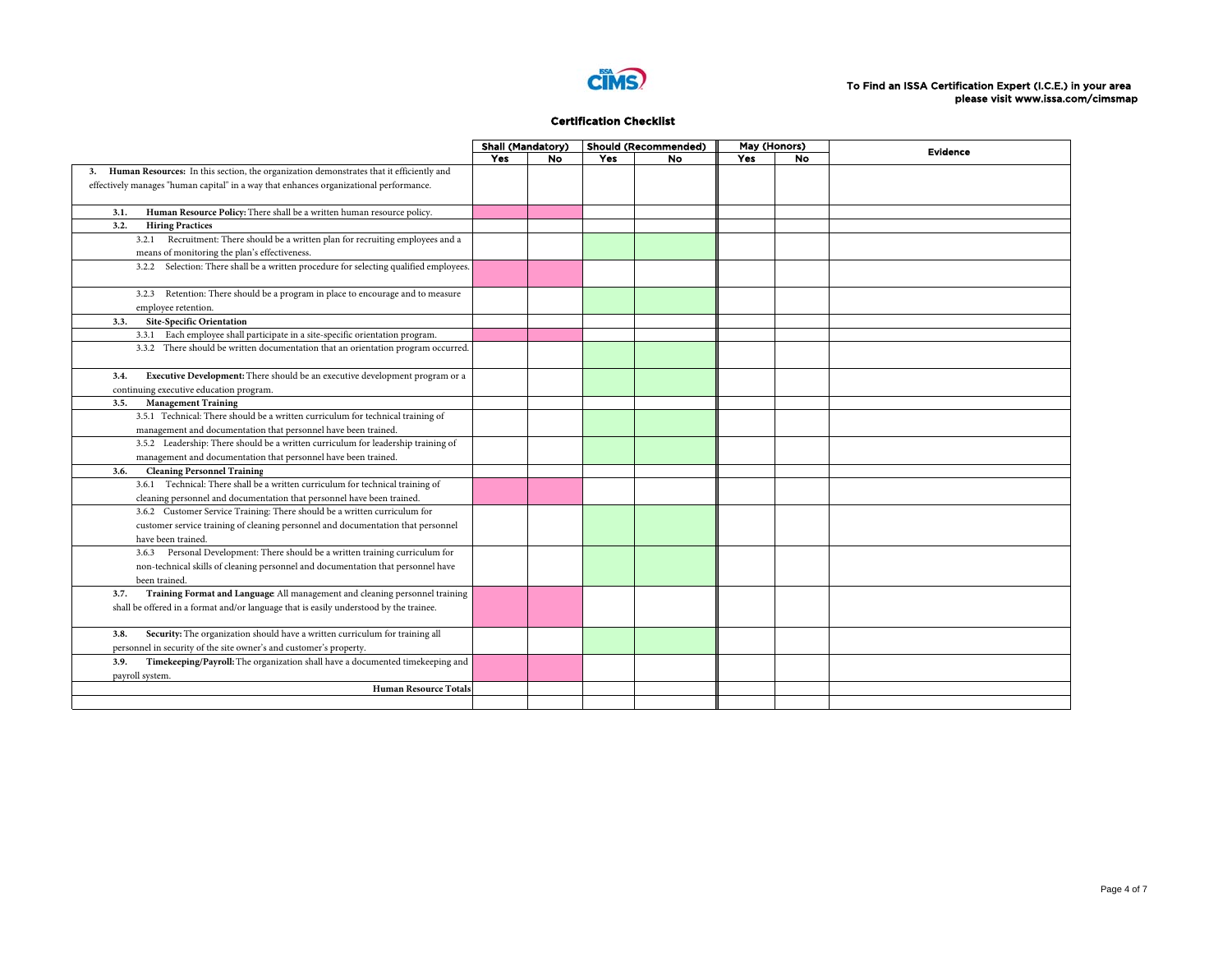

|                                                                                               | <b>Shall (Mandatory)</b> |    |     | <b>Should (Recommended)</b> | May (Honors) |           | <b>Evidence</b> |
|-----------------------------------------------------------------------------------------------|--------------------------|----|-----|-----------------------------|--------------|-----------|-----------------|
|                                                                                               | Yes                      | No | Yes | No.                         | <b>Yes</b>   | <b>No</b> |                 |
| Human Resources: In this section, the organization demonstrates that it efficiently and<br>3. |                          |    |     |                             |              |           |                 |
| effectively manages "human capital" in a way that enhances organizational performance.        |                          |    |     |                             |              |           |                 |
|                                                                                               |                          |    |     |                             |              |           |                 |
| Human Resource Policy: There shall be a written human resource policy.<br>3.1.                |                          |    |     |                             |              |           |                 |
| 3.2.<br><b>Hiring Practices</b>                                                               |                          |    |     |                             |              |           |                 |
| 3.2.1 Recruitment: There should be a written plan for recruiting employees and a              |                          |    |     |                             |              |           |                 |
| means of monitoring the plan's effectiveness.                                                 |                          |    |     |                             |              |           |                 |
| 3.2.2 Selection: There shall be a written procedure for selecting qualified employees.        |                          |    |     |                             |              |           |                 |
|                                                                                               |                          |    |     |                             |              |           |                 |
| 3.2.3 Retention: There should be a program in place to encourage and to measure               |                          |    |     |                             |              |           |                 |
| employee retention.                                                                           |                          |    |     |                             |              |           |                 |
| <b>Site-Specific Orientation</b><br>3.3.                                                      |                          |    |     |                             |              |           |                 |
| 3.3.1 Each employee shall participate in a site-specific orientation program.                 |                          |    |     |                             |              |           |                 |
| 3.3.2 There should be written documentation that an orientation program occurred.             |                          |    |     |                             |              |           |                 |
|                                                                                               |                          |    |     |                             |              |           |                 |
| Executive Development: There should be an executive development program or a<br>3.4.          |                          |    |     |                             |              |           |                 |
| continuing executive education program.                                                       |                          |    |     |                             |              |           |                 |
| <b>Management Training</b><br>3.5.                                                            |                          |    |     |                             |              |           |                 |
| 3.5.1 Technical: There should be a written curriculum for technical training of               |                          |    |     |                             |              |           |                 |
| management and documentation that personnel have been trained.                                |                          |    |     |                             |              |           |                 |
| 3.5.2 Leadership: There should be a written curriculum for leadership training of             |                          |    |     |                             |              |           |                 |
| management and documentation that personnel have been trained.                                |                          |    |     |                             |              |           |                 |
| <b>Cleaning Personnel Training</b><br>3.6.                                                    |                          |    |     |                             |              |           |                 |
| 3.6.1 Technical: There shall be a written curriculum for technical training of                |                          |    |     |                             |              |           |                 |
| cleaning personnel and documentation that personnel have been trained.                        |                          |    |     |                             |              |           |                 |
| 3.6.2 Customer Service Training: There should be a written curriculum for                     |                          |    |     |                             |              |           |                 |
| customer service training of cleaning personnel and documentation that personnel              |                          |    |     |                             |              |           |                 |
| have been trained.                                                                            |                          |    |     |                             |              |           |                 |
| 3.6.3 Personal Development: There should be a written training curriculum for                 |                          |    |     |                             |              |           |                 |
|                                                                                               |                          |    |     |                             |              |           |                 |
| non-technical skills of cleaning personnel and documentation that personnel have              |                          |    |     |                             |              |           |                 |
| been trained                                                                                  |                          |    |     |                             |              |           |                 |
| Training Format and Language All management and cleaning personnel training<br>3.7.           |                          |    |     |                             |              |           |                 |
| shall be offered in a format and/or language that is easily understood by the trainee.        |                          |    |     |                             |              |           |                 |
|                                                                                               |                          |    |     |                             |              |           |                 |
| Security: The organization should have a written curriculum for training all<br>3.8.          |                          |    |     |                             |              |           |                 |
| personnel in security of the site owner's and customer's property.                            |                          |    |     |                             |              |           |                 |
| Timekeeping/Payroll: The organization shall have a documented timekeeping and<br>3.9.         |                          |    |     |                             |              |           |                 |
| payroll system.                                                                               |                          |    |     |                             |              |           |                 |
| <b>Human Resource Totals</b>                                                                  |                          |    |     |                             |              |           |                 |
|                                                                                               |                          |    |     |                             |              |           |                 |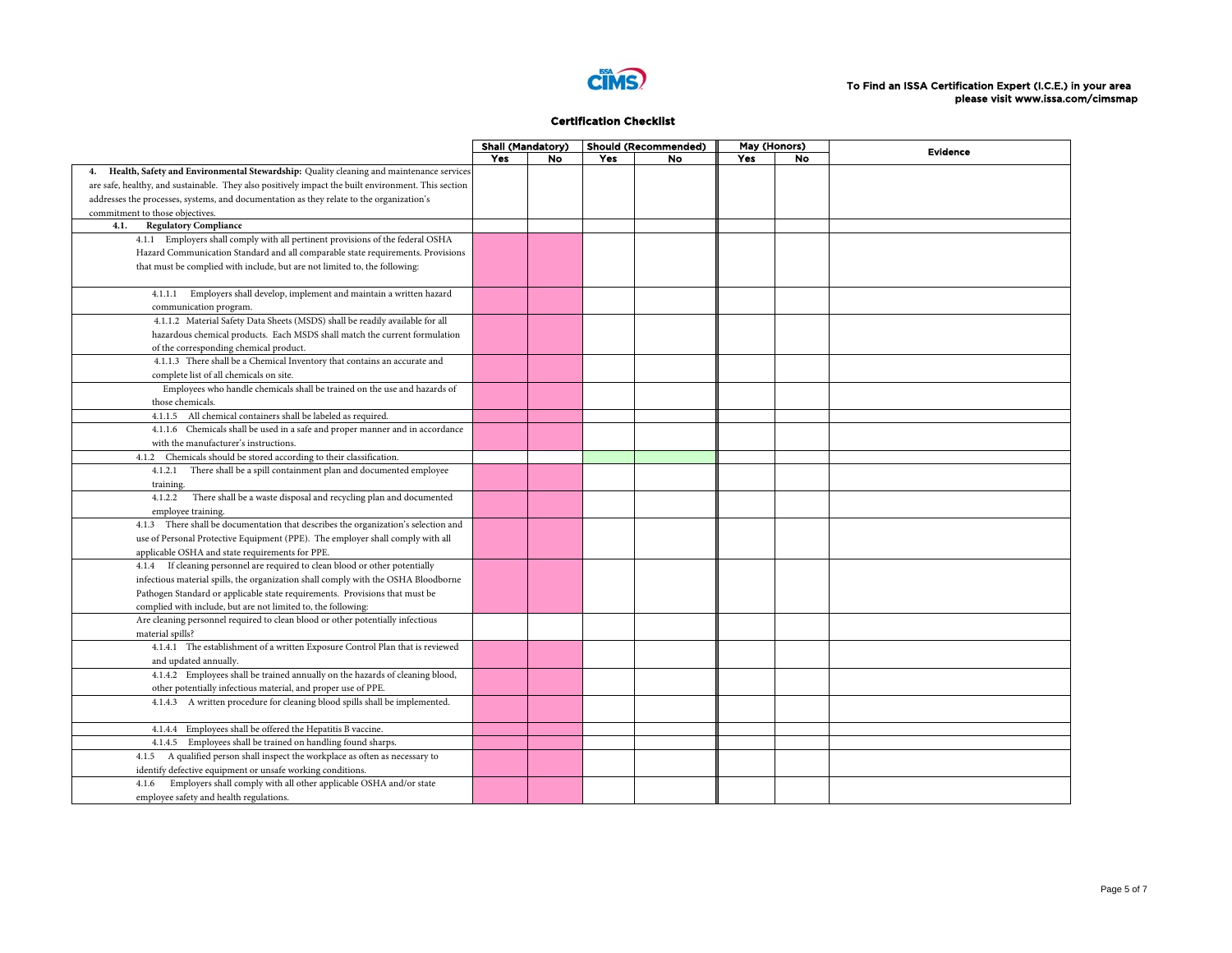

|                                                                                                     | <b>Shall (Mandatory)</b> |           |     | <b>Should (Recommended)</b> | May (Honors) |    | <b>Evidence</b> |
|-----------------------------------------------------------------------------------------------------|--------------------------|-----------|-----|-----------------------------|--------------|----|-----------------|
|                                                                                                     | Yes                      | <b>No</b> | Yes | No                          | Yes          | No |                 |
| 4. Health, Safety and Environmental Stewardship: Quality cleaning and maintenance services          |                          |           |     |                             |              |    |                 |
| are safe, healthy, and sustainable. They also positively impact the built environment. This section |                          |           |     |                             |              |    |                 |
| addresses the processes, systems, and documentation as they relate to the organization's            |                          |           |     |                             |              |    |                 |
| commitment to those objectives.                                                                     |                          |           |     |                             |              |    |                 |
| 4.1.<br><b>Regulatory Compliance</b>                                                                |                          |           |     |                             |              |    |                 |
| 4.1.1 Employers shall comply with all pertinent provisions of the federal OSHA                      |                          |           |     |                             |              |    |                 |
| Hazard Communication Standard and all comparable state requirements. Provisions                     |                          |           |     |                             |              |    |                 |
| that must be complied with include, but are not limited to, the following:                          |                          |           |     |                             |              |    |                 |
| 4.1.1.1 Employers shall develop, implement and maintain a written hazard                            |                          |           |     |                             |              |    |                 |
| communication program.                                                                              |                          |           |     |                             |              |    |                 |
| 4.1.1.2 Material Safety Data Sheets (MSDS) shall be readily available for all                       |                          |           |     |                             |              |    |                 |
| hazardous chemical products. Each MSDS shall match the current formulation                          |                          |           |     |                             |              |    |                 |
| of the corresponding chemical product.                                                              |                          |           |     |                             |              |    |                 |
| 4.1.1.3 There shall be a Chemical Inventory that contains an accurate and                           |                          |           |     |                             |              |    |                 |
| complete list of all chemicals on site.                                                             |                          |           |     |                             |              |    |                 |
| Employees who handle chemicals shall be trained on the use and hazards of                           |                          |           |     |                             |              |    |                 |
| those chemicals.                                                                                    |                          |           |     |                             |              |    |                 |
| 4.1.1.5 All chemical containers shall be labeled as required.                                       |                          |           |     |                             |              |    |                 |
| 4.1.1.6 Chemicals shall be used in a safe and proper manner and in accordance                       |                          |           |     |                             |              |    |                 |
| with the manufacturer's instructions.                                                               |                          |           |     |                             |              |    |                 |
| Chemicals should be stored according to their classification.<br>4.1.2                              |                          |           |     |                             |              |    |                 |
| 4.1.2.1 There shall be a spill containment plan and documented employee                             |                          |           |     |                             |              |    |                 |
| training.                                                                                           |                          |           |     |                             |              |    |                 |
| 4.1.2.2 There shall be a waste disposal and recycling plan and documented                           |                          |           |     |                             |              |    |                 |
| employee training.                                                                                  |                          |           |     |                             |              |    |                 |
| 4.1.3 There shall be documentation that describes the organization's selection and                  |                          |           |     |                             |              |    |                 |
| use of Personal Protective Equipment (PPE). The employer shall comply with all                      |                          |           |     |                             |              |    |                 |
| applicable OSHA and state requirements for PPE.                                                     |                          |           |     |                             |              |    |                 |
| 4.1.4 If cleaning personnel are required to clean blood or other potentially                        |                          |           |     |                             |              |    |                 |
| infectious material spills, the organization shall comply with the OSHA Bloodborne                  |                          |           |     |                             |              |    |                 |
| Pathogen Standard or applicable state requirements. Provisions that must be                         |                          |           |     |                             |              |    |                 |
| complied with include, but are not limited to, the following:                                       |                          |           |     |                             |              |    |                 |
| Are cleaning personnel required to clean blood or other potentially infectious                      |                          |           |     |                             |              |    |                 |
| material spills?                                                                                    |                          |           |     |                             |              |    |                 |
| 4.1.4.1 The establishment of a written Exposure Control Plan that is reviewed                       |                          |           |     |                             |              |    |                 |
| and updated annually.                                                                               |                          |           |     |                             |              |    |                 |
| 4.1.4.2 Employees shall be trained annually on the hazards of cleaning blood,                       |                          |           |     |                             |              |    |                 |
| other potentially infectious material, and proper use of PPE.                                       |                          |           |     |                             |              |    |                 |
| 4.1.4.3 A written procedure for cleaning blood spills shall be implemented.                         |                          |           |     |                             |              |    |                 |
| 4.1.4.4 Employees shall be offered the Hepatitis B vaccine.                                         |                          |           |     |                             |              |    |                 |
| 4.1.4.5 Employees shall be trained on handling found sharps.                                        |                          |           |     |                             |              |    |                 |
| 4.1.5 A qualified person shall inspect the workplace as often as necessary to                       |                          |           |     |                             |              |    |                 |
| identify defective equipment or unsafe working conditions.                                          |                          |           |     |                             |              |    |                 |
| Employers shall comply with all other applicable OSHA and/or state<br>4.1.6                         |                          |           |     |                             |              |    |                 |
| employee safety and health regulations.                                                             |                          |           |     |                             |              |    |                 |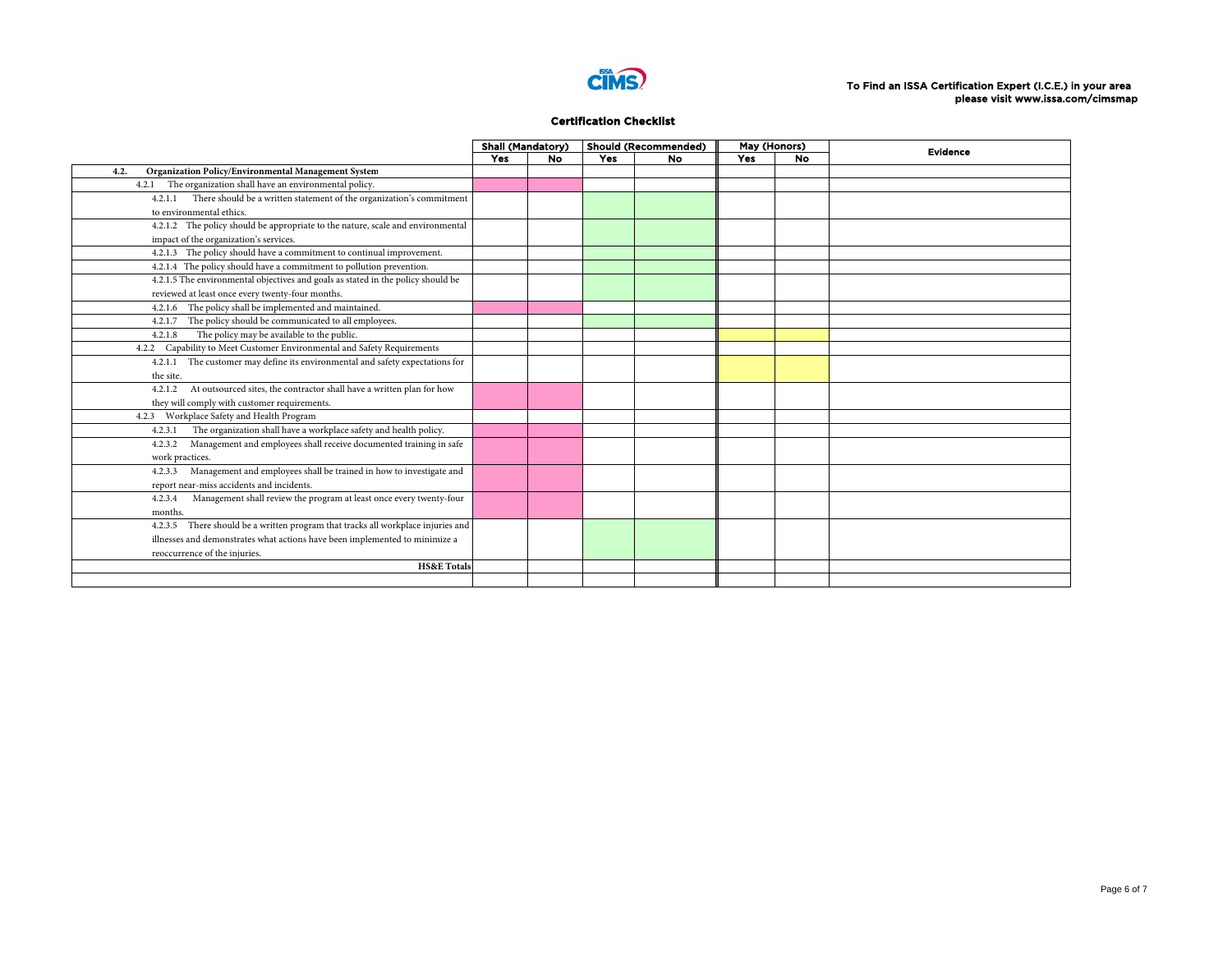

|                                                                                  | <b>Shall (Mandatory)</b> |           | <b>Should (Recommended)</b> |           | May (Honors) |           | <b>Evidence</b> |
|----------------------------------------------------------------------------------|--------------------------|-----------|-----------------------------|-----------|--------------|-----------|-----------------|
|                                                                                  | Yes                      | <b>No</b> | <b>Yes</b>                  | <b>No</b> | <b>Yes</b>   | <b>No</b> |                 |
| Organization Policy/Environmental Management System<br>4.2.                      |                          |           |                             |           |              |           |                 |
| 4.2.1 The organization shall have an environmental policy.                       |                          |           |                             |           |              |           |                 |
| 4.2.1.1 There should be a written statement of the organization's commitment     |                          |           |                             |           |              |           |                 |
| to environmental ethics.                                                         |                          |           |                             |           |              |           |                 |
| 4.2.1.2 The policy should be appropriate to the nature, scale and environmental  |                          |           |                             |           |              |           |                 |
| impact of the organization's services.                                           |                          |           |                             |           |              |           |                 |
| 4.2.1.3 The policy should have a commitment to continual improvement.            |                          |           |                             |           |              |           |                 |
| 4.2.1.4 The policy should have a commitment to pollution prevention.             |                          |           |                             |           |              |           |                 |
| 4.2.1.5 The environmental objectives and goals as stated in the policy should be |                          |           |                             |           |              |           |                 |
| reviewed at least once every twenty-four months.                                 |                          |           |                             |           |              |           |                 |
| The policy shall be implemented and maintained.<br>4.2.1.6                       |                          |           |                             |           |              |           |                 |
| The policy should be communicated to all employees.<br>4.2.1.7                   |                          |           |                             |           |              |           |                 |
| The policy may be available to the public.<br>4.2.1.8                            |                          |           |                             |           |              |           |                 |
| 4.2.2 Capability to Meet Customer Environmental and Safety Requirements          |                          |           |                             |           |              |           |                 |
| 4.2.1.1 The customer may define its environmental and safety expectations for    |                          |           |                             |           |              |           |                 |
| the site.                                                                        |                          |           |                             |           |              |           |                 |
| 4.2.1.2 At outsourced sites, the contractor shall have a written plan for how    |                          |           |                             |           |              |           |                 |
| they will comply with customer requirements.                                     |                          |           |                             |           |              |           |                 |
| 4.2.3 Workplace Safety and Health Program                                        |                          |           |                             |           |              |           |                 |
| The organization shall have a workplace safety and health policy.<br>4.2.3.1     |                          |           |                             |           |              |           |                 |
| 4.2.3.2 Management and employees shall receive documented training in safe       |                          |           |                             |           |              |           |                 |
| work practices.                                                                  |                          |           |                             |           |              |           |                 |
| Management and employees shall be trained in how to investigate and<br>4.2.3.3   |                          |           |                             |           |              |           |                 |
| report near-miss accidents and incidents.                                        |                          |           |                             |           |              |           |                 |
| Management shall review the program at least once every twenty-four<br>4.2.3.4   |                          |           |                             |           |              |           |                 |
| months.                                                                          |                          |           |                             |           |              |           |                 |
| 4.2.3.5 There should be a written program that tracks all workplace injuries and |                          |           |                             |           |              |           |                 |
| illnesses and demonstrates what actions have been implemented to minimize a      |                          |           |                             |           |              |           |                 |
| reoccurrence of the injuries.                                                    |                          |           |                             |           |              |           |                 |
| <b>HS&amp;E</b> Totals                                                           |                          |           |                             |           |              |           |                 |
|                                                                                  |                          |           |                             |           |              |           |                 |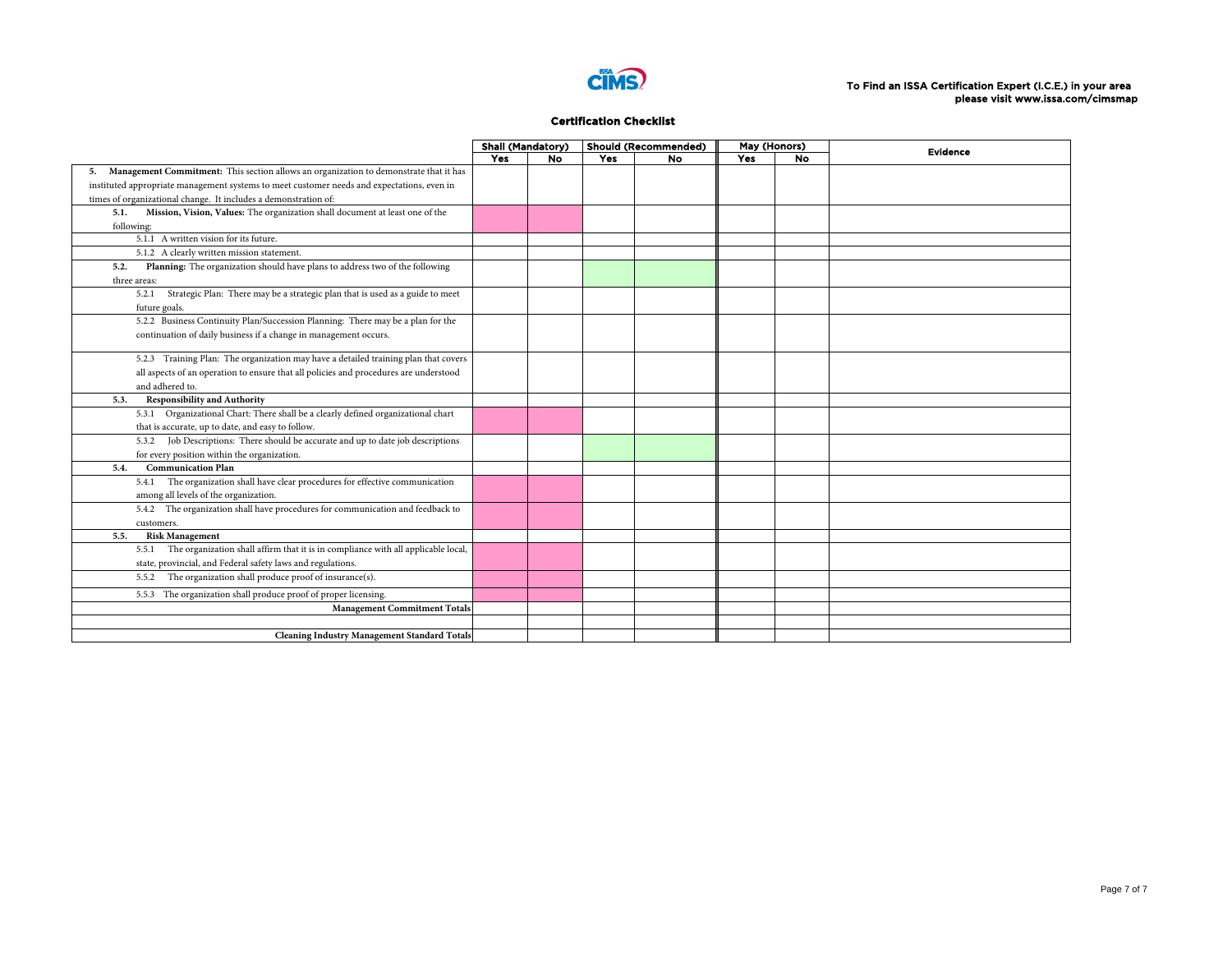

|                                                                                            | <b>Shall (Mandatory)</b> |     |            | <b>Should (Recommended)</b> | May (Honors) |           | <b>Evidence</b> |
|--------------------------------------------------------------------------------------------|--------------------------|-----|------------|-----------------------------|--------------|-----------|-----------------|
|                                                                                            | Yes                      | No. | <b>Yes</b> | <b>No</b>                   | <b>Yes</b>   | <b>No</b> |                 |
| 5. Management Commitment: This section allows an organization to demonstrate that it has   |                          |     |            |                             |              |           |                 |
| instituted appropriate management systems to meet customer needs and expectations, even in |                          |     |            |                             |              |           |                 |
| times of organizational change. It includes a demonstration of:                            |                          |     |            |                             |              |           |                 |
| Mission, Vision, Values: The organization shall document at least one of the<br>5.1.       |                          |     |            |                             |              |           |                 |
| following:                                                                                 |                          |     |            |                             |              |           |                 |
| 5.1.1 A written vision for its future.                                                     |                          |     |            |                             |              |           |                 |
| 5.1.2 A clearly written mission statement.                                                 |                          |     |            |                             |              |           |                 |
| Planning: The organization should have plans to address two of the following<br>5.2.       |                          |     |            |                             |              |           |                 |
| three areas:                                                                               |                          |     |            |                             |              |           |                 |
| 5.2.1 Strategic Plan: There may be a strategic plan that is used as a guide to meet        |                          |     |            |                             |              |           |                 |
| future goals.                                                                              |                          |     |            |                             |              |           |                 |
| 5.2.2 Business Continuity Plan/Succession Planning: There may be a plan for the            |                          |     |            |                             |              |           |                 |
| continuation of daily business if a change in management occurs.                           |                          |     |            |                             |              |           |                 |
|                                                                                            |                          |     |            |                             |              |           |                 |
| 5.2.3 Training Plan: The organization may have a detailed training plan that covers        |                          |     |            |                             |              |           |                 |
| all aspects of an operation to ensure that all policies and procedures are understood      |                          |     |            |                             |              |           |                 |
| and adhered to.                                                                            |                          |     |            |                             |              |           |                 |
| <b>Responsibility and Authority</b><br>5.3.                                                |                          |     |            |                             |              |           |                 |
| 5.3.1 Organizational Chart: There shall be a clearly defined organizational chart          |                          |     |            |                             |              |           |                 |
| that is accurate, up to date, and easy to follow.                                          |                          |     |            |                             |              |           |                 |
| 5.3.2 Job Descriptions: There should be accurate and up to date job descriptions           |                          |     |            |                             |              |           |                 |
| for every position within the organization.                                                |                          |     |            |                             |              |           |                 |
| <b>Communication Plan</b><br>5.4.                                                          |                          |     |            |                             |              |           |                 |
| 5.4.1 The organization shall have clear procedures for effective communication             |                          |     |            |                             |              |           |                 |
| among all levels of the organization.                                                      |                          |     |            |                             |              |           |                 |
| 5.4.2 The organization shall have procedures for communication and feedback to             |                          |     |            |                             |              |           |                 |
| customers.                                                                                 |                          |     |            |                             |              |           |                 |
| <b>Risk Management</b><br>5.5.                                                             |                          |     |            |                             |              |           |                 |
| 5.5.1 The organization shall affirm that it is in compliance with all applicable local,    |                          |     |            |                             |              |           |                 |
| state, provincial, and Federal safety laws and regulations.                                |                          |     |            |                             |              |           |                 |
| 5.5.2 The organization shall produce proof of insurance(s).                                |                          |     |            |                             |              |           |                 |
| 5.5.3 The organization shall produce proof of proper licensing.                            |                          |     |            |                             |              |           |                 |
| <b>Management Commitment Totals</b>                                                        |                          |     |            |                             |              |           |                 |
|                                                                                            |                          |     |            |                             |              |           |                 |
| <b>Cleaning Industry Management Standard Totals</b>                                        |                          |     |            |                             |              |           |                 |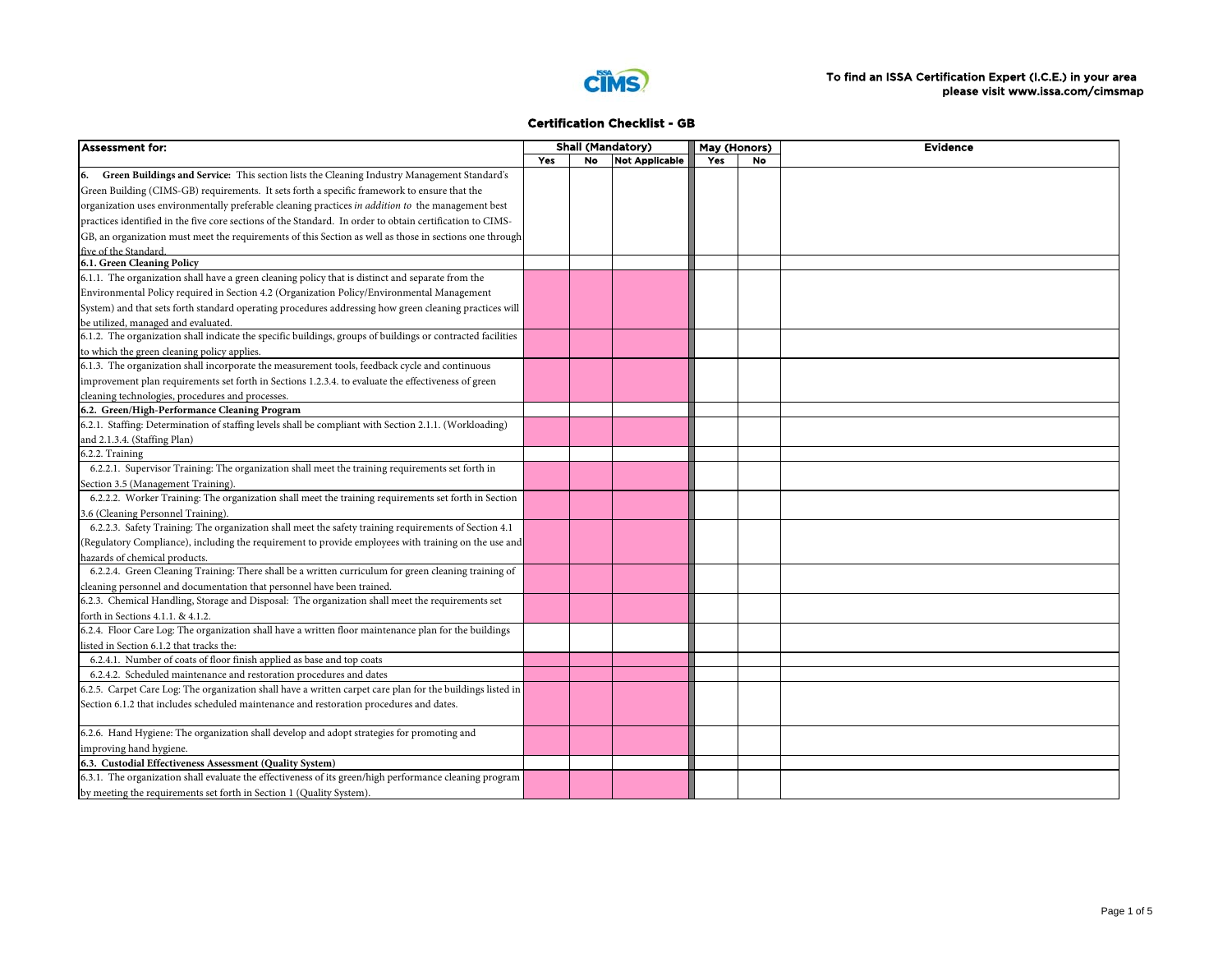

| <b>Assessment for:</b>                                                                                      |     | <b>Shall (Mandatory)</b> |                       | May (Honors) |           | <b>Evidence</b> |
|-------------------------------------------------------------------------------------------------------------|-----|--------------------------|-----------------------|--------------|-----------|-----------------|
|                                                                                                             | Yes | <b>No</b>                | <b>Not Applicable</b> | Yes          | <b>No</b> |                 |
| Green Buildings and Service: This section lists the Cleaning Industry Management Standard's                 |     |                          |                       |              |           |                 |
| Green Building (CIMS-GB) requirements. It sets forth a specific framework to ensure that the                |     |                          |                       |              |           |                 |
| organization uses environmentally preferable cleaning practices in <i>addition to</i> the management best   |     |                          |                       |              |           |                 |
| practices identified in the five core sections of the Standard. In order to obtain certification to CIMS-   |     |                          |                       |              |           |                 |
| GB, an organization must meet the requirements of this Section as well as those in sections one through     |     |                          |                       |              |           |                 |
| five of the Standard.                                                                                       |     |                          |                       |              |           |                 |
| 6.1. Green Cleaning Policy                                                                                  |     |                          |                       |              |           |                 |
| 6.1.1. The organization shall have a green cleaning policy that is distinct and separate from the           |     |                          |                       |              |           |                 |
| Environmental Policy required in Section 4.2 (Organization Policy/Environmental Management                  |     |                          |                       |              |           |                 |
| System) and that sets forth standard operating procedures addressing how green cleaning practices will      |     |                          |                       |              |           |                 |
| be utilized, managed and evaluated.                                                                         |     |                          |                       |              |           |                 |
| 6.1.2. The organization shall indicate the specific buildings, groups of buildings or contracted facilities |     |                          |                       |              |           |                 |
| to which the green cleaning policy applies.                                                                 |     |                          |                       |              |           |                 |
| 6.1.3. The organization shall incorporate the measurement tools, feedback cycle and continuous              |     |                          |                       |              |           |                 |
| improvement plan requirements set forth in Sections 1.2.3.4. to evaluate the effectiveness of green         |     |                          |                       |              |           |                 |
| cleaning technologies, procedures and processes.                                                            |     |                          |                       |              |           |                 |
| 6.2. Green/High-Performance Cleaning Program                                                                |     |                          |                       |              |           |                 |
| 6.2.1. Staffing: Determination of staffing levels shall be compliant with Section 2.1.1. (Workloading)      |     |                          |                       |              |           |                 |
| and 2.1.3.4. (Staffing Plan)                                                                                |     |                          |                       |              |           |                 |
| 6.2.2. Training                                                                                             |     |                          |                       |              |           |                 |
| 6.2.2.1. Supervisor Training: The organization shall meet the training requirements set forth in            |     |                          |                       |              |           |                 |
| Section 3.5 (Management Training).                                                                          |     |                          |                       |              |           |                 |
| 6.2.2.2. Worker Training: The organization shall meet the training requirements set forth in Section        |     |                          |                       |              |           |                 |
| 3.6 (Cleaning Personnel Training).                                                                          |     |                          |                       |              |           |                 |
| 6.2.2.3. Safety Training: The organization shall meet the safety training requirements of Section 4.1       |     |                          |                       |              |           |                 |
| (Regulatory Compliance), including the requirement to provide employees with training on the use and        |     |                          |                       |              |           |                 |
| hazards of chemical products.                                                                               |     |                          |                       |              |           |                 |
| 6.2.2.4. Green Cleaning Training: There shall be a written curriculum for green cleaning training of        |     |                          |                       |              |           |                 |
| cleaning personnel and documentation that personnel have been trained.                                      |     |                          |                       |              |           |                 |
| 6.2.3. Chemical Handling, Storage and Disposal: The organization shall meet the requirements set            |     |                          |                       |              |           |                 |
| forth in Sections 4.1.1. & 4.1.2.                                                                           |     |                          |                       |              |           |                 |
| 6.2.4. Floor Care Log: The organization shall have a written floor maintenance plan for the buildings       |     |                          |                       |              |           |                 |
| listed in Section 6.1.2 that tracks the:                                                                    |     |                          |                       |              |           |                 |
| 6.2.4.1. Number of coats of floor finish applied as base and top coats                                      |     |                          |                       |              |           |                 |
| 6.2.4.2. Scheduled maintenance and restoration procedures and dates                                         |     |                          |                       |              |           |                 |
| 6.2.5. Carpet Care Log: The organization shall have a written carpet care plan for the buildings listed in  |     |                          |                       |              |           |                 |
| Section 6.1.2 that includes scheduled maintenance and restoration procedures and dates.                     |     |                          |                       |              |           |                 |
|                                                                                                             |     |                          |                       |              |           |                 |
| 6.2.6. Hand Hygiene: The organization shall develop and adopt strategies for promoting and                  |     |                          |                       |              |           |                 |
| improving hand hygiene.                                                                                     |     |                          |                       |              |           |                 |
| 6.3. Custodial Effectiveness Assessment (Quality System)                                                    |     |                          |                       |              |           |                 |
| 6.3.1. The organization shall evaluate the effectiveness of its green/high performance cleaning program     |     |                          |                       |              |           |                 |
| by meeting the requirements set forth in Section 1 (Quality System).                                        |     |                          |                       |              |           |                 |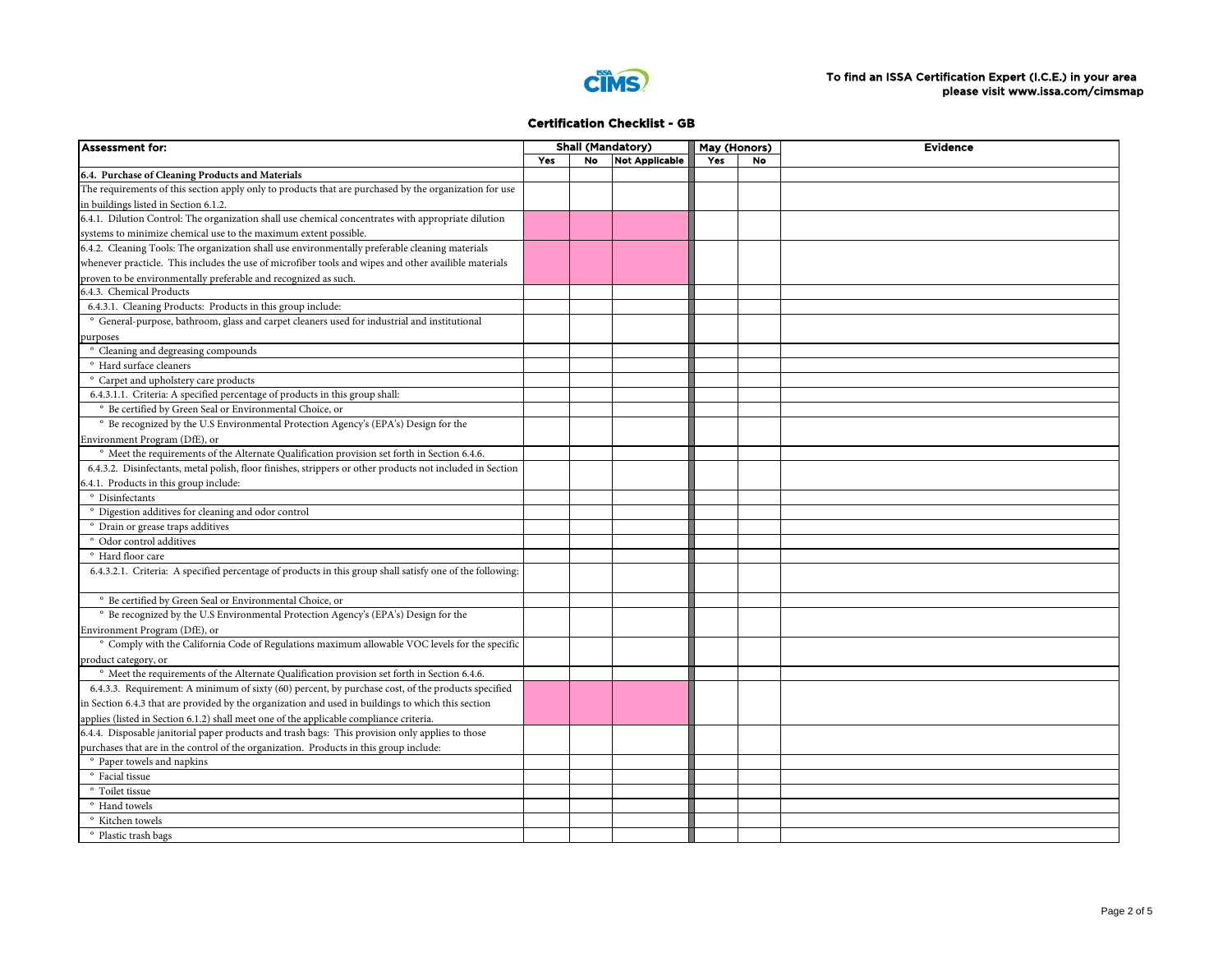

| <b>Assessment for:</b>                                                                                    |     |    | <b>Shall (Mandatory)</b> | May (Honors) |           | <b>Evidence</b> |
|-----------------------------------------------------------------------------------------------------------|-----|----|--------------------------|--------------|-----------|-----------------|
|                                                                                                           | Yes | No | <b>Not Applicable</b>    | Yes          | <b>No</b> |                 |
| 6.4. Purchase of Cleaning Products and Materials                                                          |     |    |                          |              |           |                 |
| The requirements of this section apply only to products that are purchased by the organization for use    |     |    |                          |              |           |                 |
| in buildings listed in Section 6.1.2.                                                                     |     |    |                          |              |           |                 |
| 6.4.1. Dilution Control: The organization shall use chemical concentrates with appropriate dilution       |     |    |                          |              |           |                 |
| systems to minimize chemical use to the maximum extent possible.                                          |     |    |                          |              |           |                 |
| 6.4.2. Cleaning Tools: The organization shall use environmentally preferable cleaning materials           |     |    |                          |              |           |                 |
| whenever practicle. This includes the use of microfiber tools and wipes and other availible materials     |     |    |                          |              |           |                 |
|                                                                                                           |     |    |                          |              |           |                 |
| proven to be environmentally preferable and recognized as such.<br>5.4.3. Chemical Products               |     |    |                          |              |           |                 |
| 6.4.3.1. Cleaning Products: Products in this group include:                                               |     |    |                          |              |           |                 |
| ° General-purpose, bathroom, glass and carpet cleaners used for industrial and institutional              |     |    |                          |              |           |                 |
|                                                                                                           |     |    |                          |              |           |                 |
| ourposes                                                                                                  |     |    |                          |              |           |                 |
| ° Cleaning and degreasing compounds                                                                       |     |    |                          |              |           |                 |
| <sup>o</sup> Hard surface cleaners                                                                        |     |    |                          |              |           |                 |
| ° Carpet and upholstery care products                                                                     |     |    |                          |              |           |                 |
| 6.4.3.1.1. Criteria: A specified percentage of products in this group shall:                              |     |    |                          |              |           |                 |
| ° Be certified by Green Seal or Environmental Choice, or                                                  |     |    |                          |              |           |                 |
| ° Be recognized by the U.S Environmental Protection Agency's (EPA's) Design for the                       |     |    |                          |              |           |                 |
| Environment Program (DfE), or                                                                             |     |    |                          |              |           |                 |
| <sup>o</sup> Meet the requirements of the Alternate Qualification provision set forth in Section 6.4.6.   |     |    |                          |              |           |                 |
| 6.4.3.2. Disinfectants, metal polish, floor finishes, strippers or other products not included in Section |     |    |                          |              |           |                 |
| 5.4.1. Products in this group include:                                                                    |     |    |                          |              |           |                 |
| ° Disinfectants                                                                                           |     |    |                          |              |           |                 |
| ° Digestion additives for cleaning and odor control                                                       |     |    |                          |              |           |                 |
| ° Drain or grease traps additives                                                                         |     |    |                          |              |           |                 |
| ° Odor control additives                                                                                  |     |    |                          |              |           |                 |
| ° Hard floor care                                                                                         |     |    |                          |              |           |                 |
| 6.4.3.2.1. Criteria: A specified percentage of products in this group shall satisfy one of the following: |     |    |                          |              |           |                 |
| <sup>o</sup> Be certified by Green Seal or Environmental Choice, or                                       |     |    |                          |              |           |                 |
| ° Be recognized by the U.S Environmental Protection Agency's (EPA's) Design for the                       |     |    |                          |              |           |                 |
| Environment Program (DfE), or                                                                             |     |    |                          |              |           |                 |
| ° Comply with the California Code of Regulations maximum allowable VOC levels for the specific            |     |    |                          |              |           |                 |
| product category, or                                                                                      |     |    |                          |              |           |                 |
| <sup>o</sup> Meet the requirements of the Alternate Qualification provision set forth in Section 6.4.6.   |     |    |                          |              |           |                 |
| 6.4.3.3. Requirement: A minimum of sixty (60) percent, by purchase cost, of the products specified        |     |    |                          |              |           |                 |
| n Section 6.4.3 that are provided by the organization and used in buildings to which this section         |     |    |                          |              |           |                 |
| applies (listed in Section 6.1.2) shall meet one of the applicable compliance criteria.                   |     |    |                          |              |           |                 |
| 6.4.4. Disposable janitorial paper products and trash bags: This provision only applies to those          |     |    |                          |              |           |                 |
| purchases that are in the control of the organization. Products in this group include:                    |     |    |                          |              |           |                 |
| ° Paper towels and napkins                                                                                |     |    |                          |              |           |                 |
|                                                                                                           |     |    |                          |              |           |                 |
| ° Facial tissue<br>° Toilet tissue                                                                        |     |    |                          |              |           |                 |
|                                                                                                           |     |    |                          |              |           |                 |
| ° Hand towels                                                                                             |     |    |                          |              |           |                 |
| ° Kitchen towels                                                                                          |     |    |                          |              |           |                 |
| ° Plastic trash bags                                                                                      |     |    |                          |              |           |                 |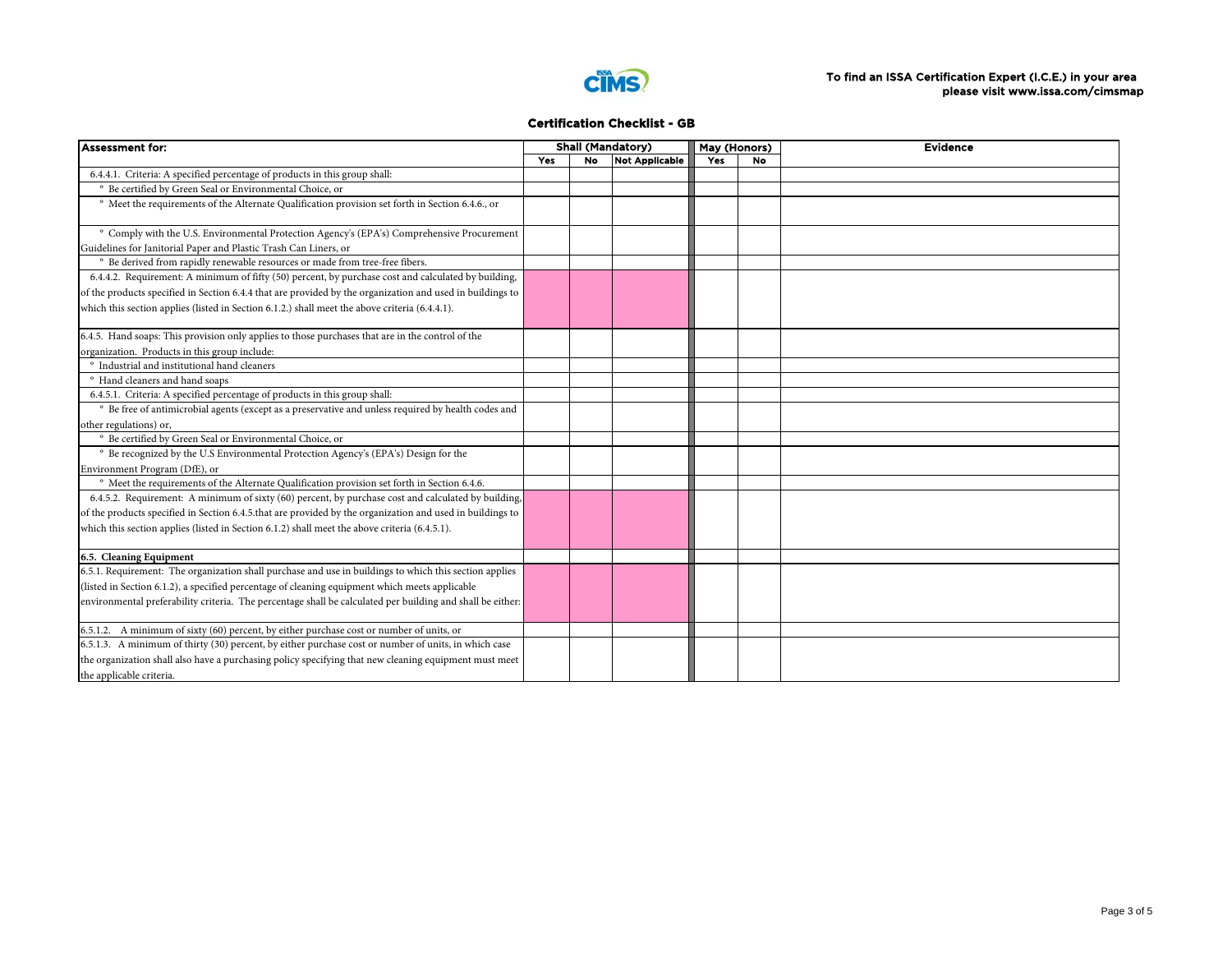

| <b>Assessment for:</b>                                                                                      |     |           | <b>Shall (Mandatory)</b> |     | May (Honors) | <b>Evidence</b> |
|-------------------------------------------------------------------------------------------------------------|-----|-----------|--------------------------|-----|--------------|-----------------|
|                                                                                                             | Yes | <b>No</b> | <b>Not Applicable</b>    | Yes | <b>No</b>    |                 |
| 6.4.4.1. Criteria: A specified percentage of products in this group shall:                                  |     |           |                          |     |              |                 |
| ° Be certified by Green Seal or Environmental Choice, or                                                    |     |           |                          |     |              |                 |
| <sup>o</sup> Meet the requirements of the Alternate Qualification provision set forth in Section 6.4.6., or |     |           |                          |     |              |                 |
| ° Comply with the U.S. Environmental Protection Agency's (EPA's) Comprehensive Procurement                  |     |           |                          |     |              |                 |
| Guidelines for Janitorial Paper and Plastic Trash Can Liners, or                                            |     |           |                          |     |              |                 |
| ° Be derived from rapidly renewable resources or made from tree-free fibers.                                |     |           |                          |     |              |                 |
| 6.4.4.2. Requirement: A minimum of fifty (50) percent, by purchase cost and calculated by building,         |     |           |                          |     |              |                 |
| of the products specified in Section 6.4.4 that are provided by the organization and used in buildings to   |     |           |                          |     |              |                 |
| which this section applies (listed in Section 6.1.2.) shall meet the above criteria (6.4.4.1).              |     |           |                          |     |              |                 |
| 6.4.5. Hand soaps: This provision only applies to those purchases that are in the control of the            |     |           |                          |     |              |                 |
| organization. Products in this group include:                                                               |     |           |                          |     |              |                 |
| ° Industrial and institutional hand cleaners                                                                |     |           |                          |     |              |                 |
| <sup>o</sup> Hand cleaners and hand soaps                                                                   |     |           |                          |     |              |                 |
| 6.4.5.1. Criteria: A specified percentage of products in this group shall:                                  |     |           |                          |     |              |                 |
| ° Be free of antimicrobial agents (except as a preservative and unless required by health codes and         |     |           |                          |     |              |                 |
| other regulations) or,                                                                                      |     |           |                          |     |              |                 |
| ° Be certified by Green Seal or Environmental Choice, or                                                    |     |           |                          |     |              |                 |
| <sup>o</sup> Be recognized by the U.S Environmental Protection Agency's (EPA's) Design for the              |     |           |                          |     |              |                 |
| Environment Program (DfE), or                                                                               |     |           |                          |     |              |                 |
| ° Meet the requirements of the Alternate Qualification provision set forth in Section 6.4.6.                |     |           |                          |     |              |                 |
| 6.4.5.2. Requirement: A minimum of sixty (60) percent, by purchase cost and calculated by building,         |     |           |                          |     |              |                 |
| of the products specified in Section 6.4.5.that are provided by the organization and used in buildings to   |     |           |                          |     |              |                 |
| which this section applies (listed in Section 6.1.2) shall meet the above criteria (6.4.5.1).               |     |           |                          |     |              |                 |
| 6.5. Cleaning Equipment                                                                                     |     |           |                          |     |              |                 |
| 6.5.1. Requirement: The organization shall purchase and use in buildings to which this section applies      |     |           |                          |     |              |                 |
| (listed in Section 6.1.2), a specified percentage of cleaning equipment which meets applicable              |     |           |                          |     |              |                 |
| environmental preferability criteria. The percentage shall be calculated per building and shall be either:  |     |           |                          |     |              |                 |
| 6.5.1.2. A minimum of sixty (60) percent, by either purchase cost or number of units, or                    |     |           |                          |     |              |                 |
| 6.5.1.3. A minimum of thirty (30) percent, by either purchase cost or number of units, in which case        |     |           |                          |     |              |                 |
| the organization shall also have a purchasing policy specifying that new cleaning equipment must meet       |     |           |                          |     |              |                 |
| the applicable criteria.                                                                                    |     |           |                          |     |              |                 |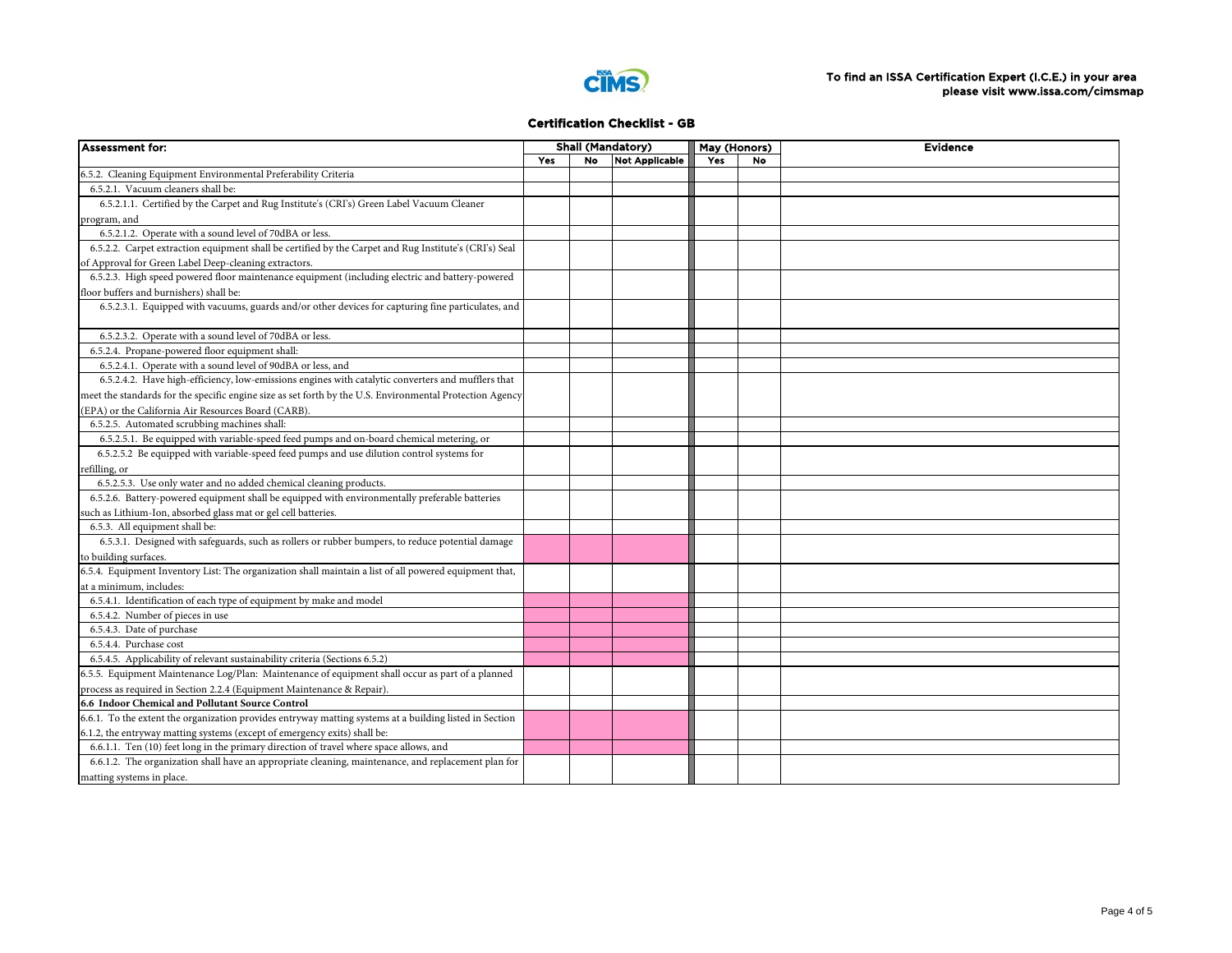

| <b>Assessment for:</b>                                                                                   |     |    | <b>Shall (Mandatory)</b> | May (Honors) |           | <b>Evidence</b> |  |  |
|----------------------------------------------------------------------------------------------------------|-----|----|--------------------------|--------------|-----------|-----------------|--|--|
|                                                                                                          | Yes | No | Not Applicable           | Yes          | <b>No</b> |                 |  |  |
| 6.5.2. Cleaning Equipment Environmental Preferability Criteria                                           |     |    |                          |              |           |                 |  |  |
| 6.5.2.1. Vacuum cleaners shall be:                                                                       |     |    |                          |              |           |                 |  |  |
| 6.5.2.1.1. Certified by the Carpet and Rug Institute's (CRI's) Green Label Vacuum Cleaner                |     |    |                          |              |           |                 |  |  |
| program, and                                                                                             |     |    |                          |              |           |                 |  |  |
| 6.5.2.1.2. Operate with a sound level of 70dBA or less.                                                  |     |    |                          |              |           |                 |  |  |
| 6.5.2.2. Carpet extraction equipment shall be certified by the Carpet and Rug Institute's (CRI's) Seal   |     |    |                          |              |           |                 |  |  |
| of Approval for Green Label Deep-cleaning extractors.                                                    |     |    |                          |              |           |                 |  |  |
| 6.5.2.3. High speed powered floor maintenance equipment (including electric and battery-powered          |     |    |                          |              |           |                 |  |  |
| floor buffers and burnishers) shall be:                                                                  |     |    |                          |              |           |                 |  |  |
| 6.5.2.3.1. Equipped with vacuums, guards and/or other devices for capturing fine particulates, and       |     |    |                          |              |           |                 |  |  |
| 6.5.2.3.2. Operate with a sound level of 70dBA or less.                                                  |     |    |                          |              |           |                 |  |  |
| 6.5.2.4. Propane-powered floor equipment shall:                                                          |     |    |                          |              |           |                 |  |  |
| 6.5.2.4.1. Operate with a sound level of 90dBA or less, and                                              |     |    |                          |              |           |                 |  |  |
| 6.5.2.4.2. Have high-efficiency, low-emissions engines with catalytic converters and mufflers that       |     |    |                          |              |           |                 |  |  |
| meet the standards for the specific engine size as set forth by the U.S. Environmental Protection Agency |     |    |                          |              |           |                 |  |  |
| (EPA) or the California Air Resources Board (CARB).                                                      |     |    |                          |              |           |                 |  |  |
| 6.5.2.5. Automated scrubbing machines shall:                                                             |     |    |                          |              |           |                 |  |  |
| 6.5.2.5.1. Be equipped with variable-speed feed pumps and on-board chemical metering, or                 |     |    |                          |              |           |                 |  |  |
| 6.5.2.5.2 Be equipped with variable-speed feed pumps and use dilution control systems for                |     |    |                          |              |           |                 |  |  |
| efilling, or                                                                                             |     |    |                          |              |           |                 |  |  |
| 6.5.2.5.3. Use only water and no added chemical cleaning products.                                       |     |    |                          |              |           |                 |  |  |
| 6.5.2.6. Battery-powered equipment shall be equipped with environmentally preferable batteries           |     |    |                          |              |           |                 |  |  |
| such as Lithium-Ion, absorbed glass mat or gel cell batteries.                                           |     |    |                          |              |           |                 |  |  |
| 6.5.3. All equipment shall be:                                                                           |     |    |                          |              |           |                 |  |  |
| 6.5.3.1. Designed with safeguards, such as rollers or rubber bumpers, to reduce potential damage         |     |    |                          |              |           |                 |  |  |
| to building surfaces.                                                                                    |     |    |                          |              |           |                 |  |  |
| 6.5.4. Equipment Inventory List: The organization shall maintain a list of all powered equipment that,   |     |    |                          |              |           |                 |  |  |
| at a minimum, includes:                                                                                  |     |    |                          |              |           |                 |  |  |
| 6.5.4.1. Identification of each type of equipment by make and model                                      |     |    |                          |              |           |                 |  |  |
| 6.5.4.2. Number of pieces in use                                                                         |     |    |                          |              |           |                 |  |  |
| 6.5.4.3. Date of purchase                                                                                |     |    |                          |              |           |                 |  |  |
| 6.5.4.4. Purchase cost                                                                                   |     |    |                          |              |           |                 |  |  |
| 6.5.4.5. Applicability of relevant sustainability criteria (Sections 6.5.2)                              |     |    |                          |              |           |                 |  |  |
| 6.5.5. Equipment Maintenance Log/Plan: Maintenance of equipment shall occur as part of a planned         |     |    |                          |              |           |                 |  |  |
| process as required in Section 2.2.4 (Equipment Maintenance & Repair).                                   |     |    |                          |              |           |                 |  |  |
| 6.6 Indoor Chemical and Pollutant Source Control                                                         |     |    |                          |              |           |                 |  |  |
| 6.6.1. To the extent the organization provides entryway matting systems at a building listed in Section  |     |    |                          |              |           |                 |  |  |
| 6.1.2, the entryway matting systems (except of emergency exits) shall be:                                |     |    |                          |              |           |                 |  |  |
| 6.6.1.1. Ten (10) feet long in the primary direction of travel where space allows, and                   |     |    |                          |              |           |                 |  |  |
| 6.6.1.2. The organization shall have an appropriate cleaning, maintenance, and replacement plan for      |     |    |                          |              |           |                 |  |  |
| matting systems in place.                                                                                |     |    |                          |              |           |                 |  |  |